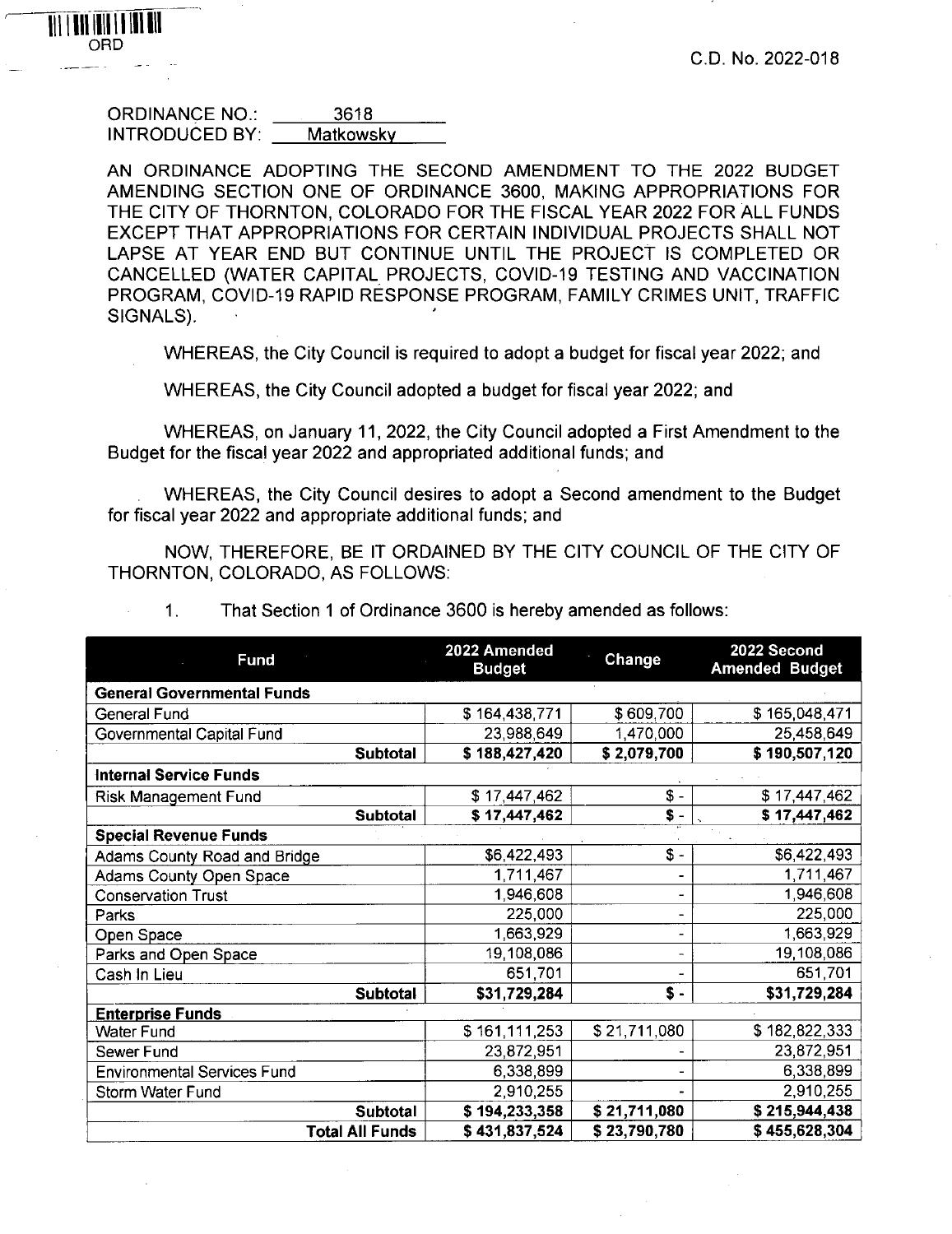| <b>ORDINANCE NO.:</b> | 3618      |
|-----------------------|-----------|
| <b>INTRODUCED BY:</b> | Matkowsky |

ORD

**AN ORDINANCE ADOPTING THE SECOND AMENDMENT TO THE 2022 BUDGET AMENDING SECTION ONE OF ORDINANCE 3600, MAKING APPROPRIATIONS FOR THE CITY OF THORNTON, COLORADO FOR THE FISCAL YEAR 2022 FOR ALL FUNDS EXCEPT THAT APPROPRIATIONS FOR CERTAIN INDIVIDUAL PROJECTS SHALL NOT LAPSE AT YEAR END BUT CONTINUE UNTIL THE PROJECT IS COMPLETED OR CANCELLED (WATER CAPITAL PROJECTS, COVID-19 TESTING AND VACCINATION PROGRAM, COVID-19 RAPID RESPONSE PROGRAM, FAMILY CRIMES UNIT, TRAFFIC SIGNALS).**

**WHEREAS, the City Council is required to adopt a budget for fiscal year 2022; and**

**WHEREAS, the City Council adopted a budget for fiscal year 2022; and**

**WHEREAS, on January 11, 2022, the City Council adopted a First Amendment to the Budget for the fiscal year 2022 and appropriated additional funds; and**

**WHEREAS, the City Council desires to adopt a Second amendment to the Budget for fiscal year 2022 and appropriate additional funds; and**

**NOW, THEREFORE, BE IT ORDAINED BY THE CITY COUNCIL OF THE CITY OF THORNTON, COLORADO, AS FOLLOWS:**

|  |  |  |  | That Section 1 of Ordinance 3600 is hereby amended as follows: |
|--|--|--|--|----------------------------------------------------------------|
|--|--|--|--|----------------------------------------------------------------|

| <b>Fund</b>                        | 2022 Amended<br><b>Budget</b> | Change          | 2022 Second<br><b>Amended Budget</b> |  |  |  |  |
|------------------------------------|-------------------------------|-----------------|--------------------------------------|--|--|--|--|
| <b>General Governmental Funds</b>  |                               |                 |                                      |  |  |  |  |
| <b>General Fund</b>                | \$164,438,771                 | \$609,700       | \$165,048,471                        |  |  |  |  |
| Governmental Capital Fund          | 23,988,649                    | 1,470,000       | 25,458,649                           |  |  |  |  |
| <b>Subtotal</b>                    | \$188,427,420                 | \$2,079,700     | \$190,507,120                        |  |  |  |  |
| <b>Internal Service Funds</b>      |                               |                 |                                      |  |  |  |  |
| <b>Risk Management Fund</b>        | \$17,447,462                  | \$ -            | \$17,447,462                         |  |  |  |  |
| <b>Subtotal</b>                    | \$17,447,462                  | \$ -            | \$17,447,462                         |  |  |  |  |
| <b>Special Revenue Funds</b>       |                               |                 |                                      |  |  |  |  |
| Adams County Road and Bridge       | \$6,422,493                   | $\frac{2}{3}$ - | \$6,422,493                          |  |  |  |  |
| Adams County Open Space            | 1,711,467                     |                 | 1,711,467                            |  |  |  |  |
| <b>Conservation Trust</b>          | 1,946,608                     |                 | 1,946,608                            |  |  |  |  |
| Parks                              | 225,000                       |                 | 225,000                              |  |  |  |  |
| Open Space                         | 1,663,929                     |                 | 1,663,929                            |  |  |  |  |
| Parks and Open Space               | 19,108,086                    |                 | 19,108,086                           |  |  |  |  |
| Cash In Lieu                       | 651,701                       |                 | 651,701                              |  |  |  |  |
| Subtotal                           | \$31,729,284                  | \$ -            | \$31,729,284                         |  |  |  |  |
| <b>Enterprise Funds</b>            |                               |                 |                                      |  |  |  |  |
| <b>Water Fund</b>                  | \$161,111,253                 | \$21,711,080    | \$182,822,333                        |  |  |  |  |
| Sewer Fund                         | 23,872,951                    |                 | 23,872,951                           |  |  |  |  |
| <b>Environmental Services Fund</b> | 6,338,899                     |                 | 6,338,899                            |  |  |  |  |
| Storm Water Fund                   | 2,910,255                     |                 | 2,910,255                            |  |  |  |  |
| Subtotal                           | \$194,233,358                 | \$21,711,080    | \$215,944,438                        |  |  |  |  |
| <b>Total All Funds</b>             | \$431,837,524                 | \$23,790,780    | \$455,628,304                        |  |  |  |  |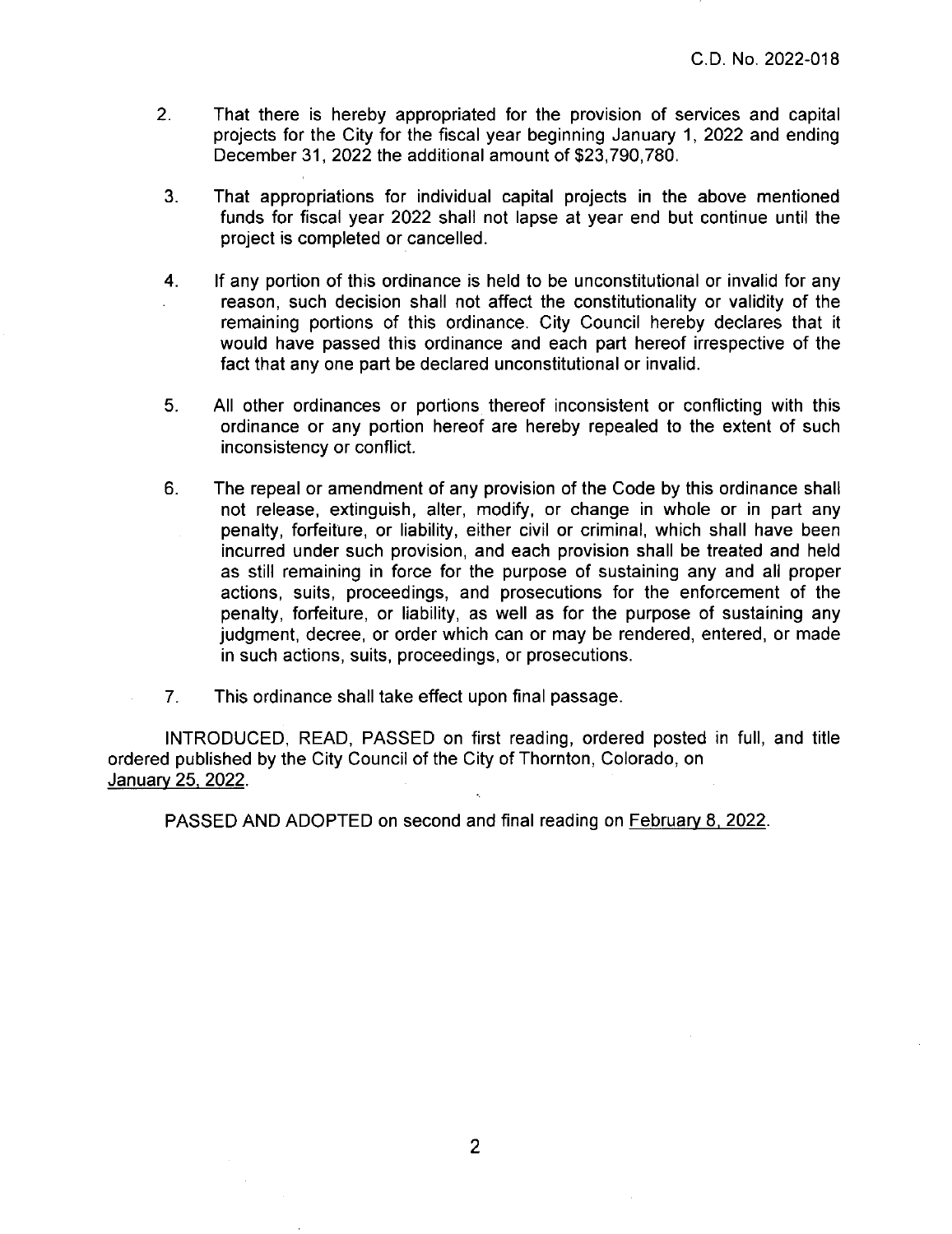C.D. No. 2022-018

- 2. That there is hereby appropriated for the provision of services and capital projects for the City for the fiscal year beginning January 1, 2022 and ending December 31,2022 the additional amount of \$23,790,780.
- 3. That appropriations for individual capital projects in the above mentioned funds for fiscal year 2022 shall not lapse at year end but continue until the project is completed or cancelled.
- 4. If any portion of this ordinance is held to be unconstitutional or invalid for any reason, such decision shall not affect the constitutionality or validity of the remaining portions of this ordinance. City Council hereby declares that it would have passed this ordinance and each part hereof irrespective of the fact that any one part be declared unconstitutional or invalid.
- 5. All other ordinances or portions thereof inconsistent or conflicting with this ordinance or any portion hereof are hereby repealed to the extent of such inconsistency or conflict.
- 6. The repeal or amendment of any provision of the Code by this ordinance shall not release, extinguish, alter, modify, or change in whole or in part any penalty, forfeiture, or liability, either civil or criminal, which shall have been incurred under such provision, and each provision shall be treated and held as still remaining in force for the purpose of sustaining any and all proper actions, suits, proceedings, and prosecutions for the enforcement of the penalty, forfeiture, or liability, as well as for the purpose of sustaining any judgment, decree, or order which can or may be rendered, entered, or made in such actions, suits, proceedings, or prosecutions.
- 7. This ordinance shall take effect upon final passage.

INTRODUCED, READ, PASSED on first reading, ordered posted in full, and title ordered published by the City Council of the City of Thornton, Colorado, on January 25, 2022.

PASSED AND ADOPTED on second and final reading on February 8, 2022.